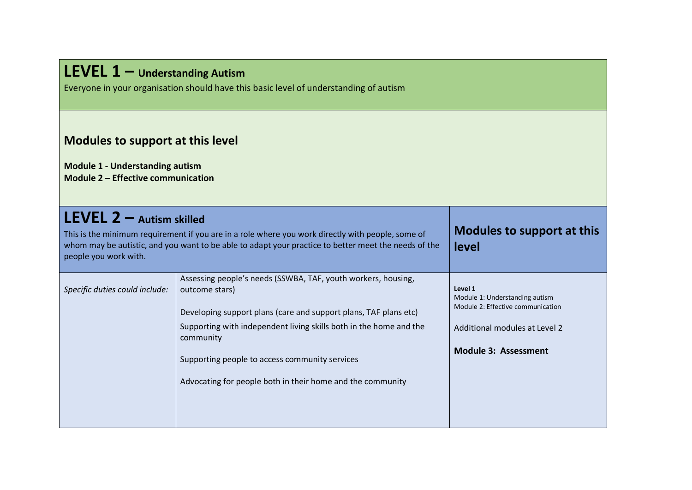## **LEVEL 1 – Understanding Autism**

Everyone in your organisation should have this basic level of understanding of autism

## **Modules to support at this level**

**Module 1 - Understanding autism Module 2 – Effective communication**

| <b>LEVEL 2</b> $-$ Autism skilled<br>This is the minimum requirement if you are in a role where you work directly with people, some of<br>whom may be autistic, and you want to be able to adapt your practice to better meet the needs of the<br>people you work with. |                                                                                                                                                                                                                                                                                                                                                        | Modules to support at this<br>level                                                                                                            |
|-------------------------------------------------------------------------------------------------------------------------------------------------------------------------------------------------------------------------------------------------------------------------|--------------------------------------------------------------------------------------------------------------------------------------------------------------------------------------------------------------------------------------------------------------------------------------------------------------------------------------------------------|------------------------------------------------------------------------------------------------------------------------------------------------|
| Specific duties could include:                                                                                                                                                                                                                                          | Assessing people's needs (SSWBA, TAF, youth workers, housing,<br>outcome stars)<br>Developing support plans (care and support plans, TAF plans etc)<br>Supporting with independent living skills both in the home and the<br>community<br>Supporting people to access community services<br>Advocating for people both in their home and the community | Level 1<br>Module 1: Understanding autism<br>Module 2: Effective communication<br>Additional modules at Level 2<br><b>Module 3: Assessment</b> |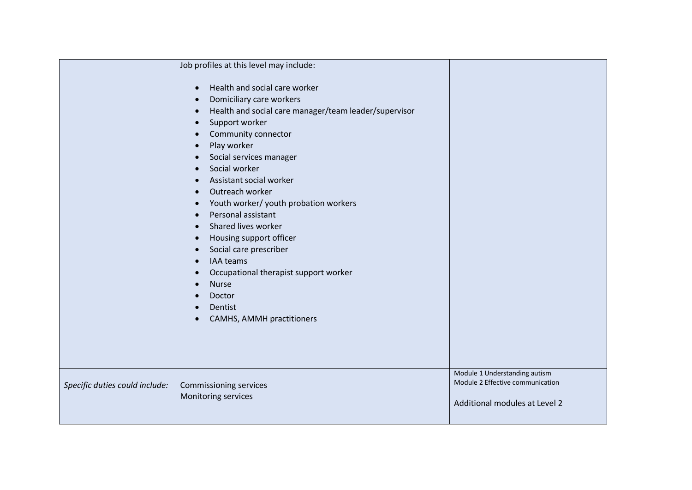|                                | Job profiles at this level may include:                                                                                                                                                                                                                                                                                                                                                                                                                                                                                                                                                                                                                      |                                                                                                    |
|--------------------------------|--------------------------------------------------------------------------------------------------------------------------------------------------------------------------------------------------------------------------------------------------------------------------------------------------------------------------------------------------------------------------------------------------------------------------------------------------------------------------------------------------------------------------------------------------------------------------------------------------------------------------------------------------------------|----------------------------------------------------------------------------------------------------|
|                                | Health and social care worker<br>$\bullet$<br>Domiciliary care workers<br>$\bullet$<br>Health and social care manager/team leader/supervisor<br>$\bullet$<br>Support worker<br>$\bullet$<br>Community connector<br>Play worker<br>Social services manager<br>Social worker<br>Assistant social worker<br>Outreach worker<br>Youth worker/ youth probation workers<br>$\bullet$<br>Personal assistant<br>$\bullet$<br>Shared lives worker<br>$\bullet$<br>Housing support officer<br>$\bullet$<br>Social care prescriber<br>IAA teams<br>$\bullet$<br>Occupational therapist support worker<br><b>Nurse</b><br>Doctor<br>Dentist<br>CAMHS, AMMH practitioners |                                                                                                    |
| Specific duties could include: | <b>Commissioning services</b><br>Monitoring services                                                                                                                                                                                                                                                                                                                                                                                                                                                                                                                                                                                                         | Module 1 Understanding autism<br>Module 2 Effective communication<br>Additional modules at Level 2 |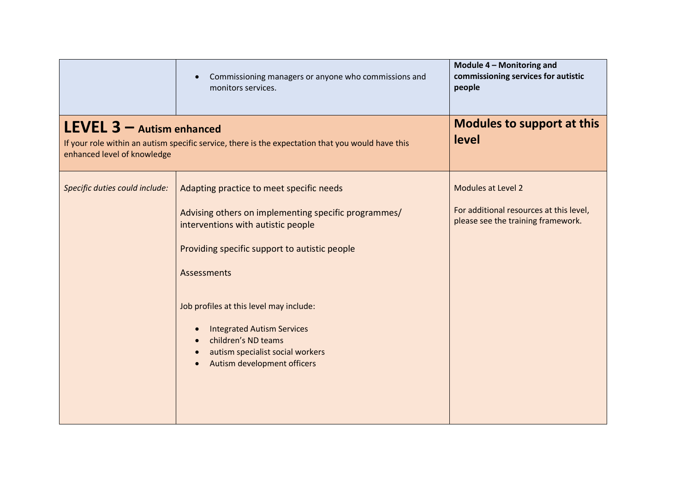|                                                                                                                                                                 | Commissioning managers or anyone who commissions and<br>monitors services.                                                                                                                                                                                                                                                                                                                    | Module 4 - Monitoring and<br>commissioning services for autistic<br>people                          |
|-----------------------------------------------------------------------------------------------------------------------------------------------------------------|-----------------------------------------------------------------------------------------------------------------------------------------------------------------------------------------------------------------------------------------------------------------------------------------------------------------------------------------------------------------------------------------------|-----------------------------------------------------------------------------------------------------|
| $LEVEL 3 -$ Autism enhanced<br>If your role within an autism specific service, there is the expectation that you would have this<br>enhanced level of knowledge |                                                                                                                                                                                                                                                                                                                                                                                               | <b>Modules to support at this</b><br>level                                                          |
| Specific duties could include:                                                                                                                                  | Adapting practice to meet specific needs<br>Advising others on implementing specific programmes/<br>interventions with autistic people<br>Providing specific support to autistic people<br>Assessments<br>Job profiles at this level may include:<br><b>Integrated Autism Services</b><br>$\bullet$<br>children's ND teams<br>autism specialist social workers<br>Autism development officers | Modules at Level 2<br>For additional resources at this level,<br>please see the training framework. |